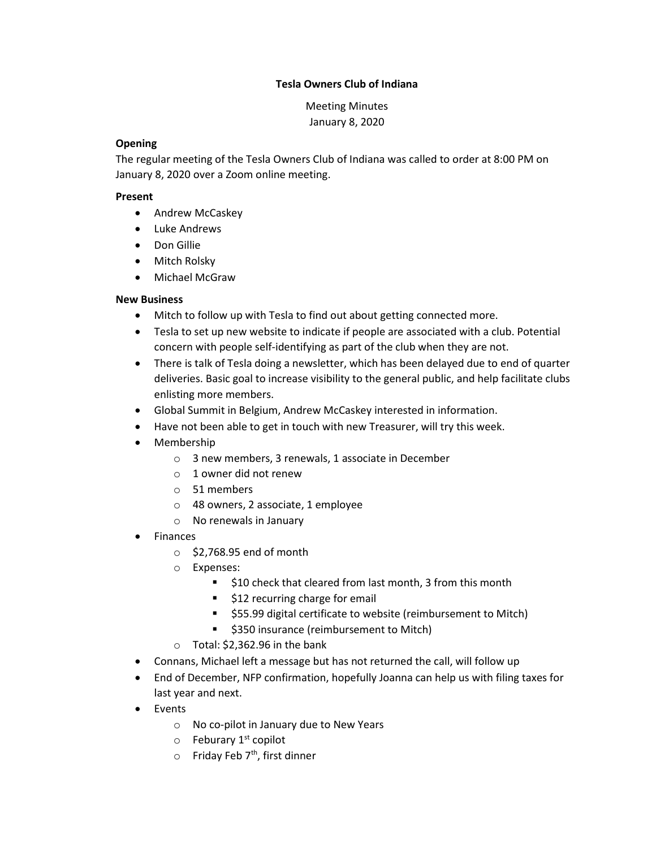## Tesla Owners Club of Indiana

Meeting Minutes January 8, 2020

### **Opening**

The regular meeting of the Tesla Owners Club of Indiana was called to order at 8:00 PM on January 8, 2020 over a Zoom online meeting.

## Present

- Andrew McCaskey
- Luke Andrews
- Don Gillie
- Mitch Rolsky
- Michael McGraw

# New Business

- Mitch to follow up with Tesla to find out about getting connected more.
- Tesla to set up new website to indicate if people are associated with a club. Potential concern with people self-identifying as part of the club when they are not.
- There is talk of Tesla doing a newsletter, which has been delayed due to end of quarter deliveries. Basic goal to increase visibility to the general public, and help facilitate clubs enlisting more members.
- Global Summit in Belgium, Andrew McCaskey interested in information.
- Have not been able to get in touch with new Treasurer, will try this week.
- Membership
	- o 3 new members, 3 renewals, 1 associate in December
	- o 1 owner did not renew
	- o 51 members
	- o 48 owners, 2 associate, 1 employee
	- o No renewals in January
- Finances
	- $\circ$  \$2,768.95 end of month
	- o Expenses:
		- \$10 check that cleared from last month, 3 from this month
		- **512 recurring charge for email**
		- **555.99 digital certificate to website (reimbursement to Mitch)**
		- **5350 insurance (reimbursement to Mitch)**
	- $\circ$  Total: \$2,362.96 in the bank
- Connans, Michael left a message but has not returned the call, will follow up
- End of December, NFP confirmation, hopefully Joanna can help us with filing taxes for last year and next.
- Events
	- o No co-pilot in January due to New Years
	- $\circ$  Feburary 1<sup>st</sup> copilot
	- $\circ$  Friday Feb 7<sup>th</sup>, first dinner